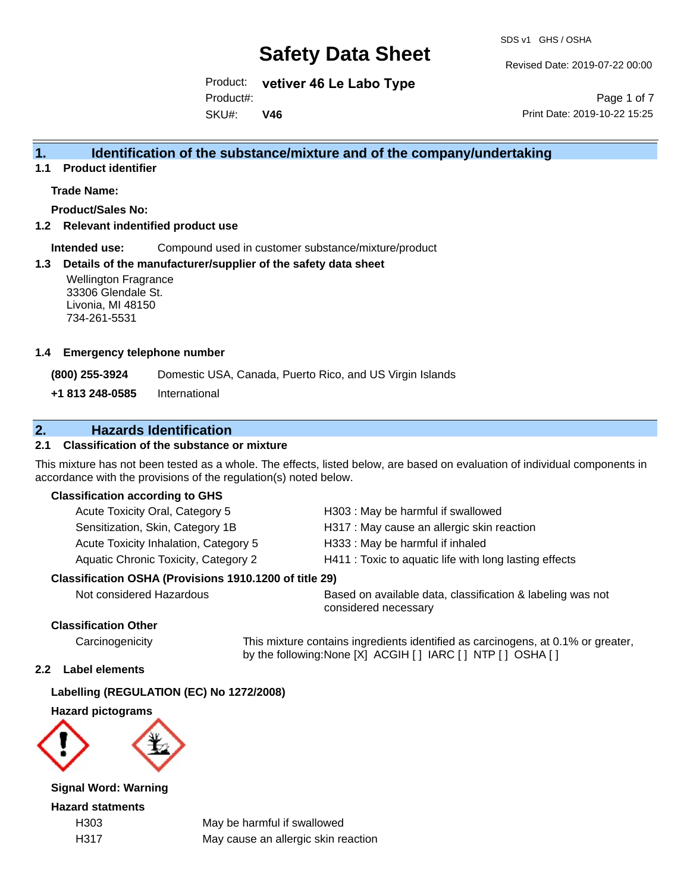SDS v1 GHS / OSHA

Revised Date: 2019-07-22 00:00

Product: **vetiver 46 Le Labo Type** SKU#: Product#: **V46**

Page 1 of 7 Print Date: 2019-10-22 15:25

## **1. Identification of the substance/mixture and of the company/undertaking**

**1.1 Product identifier**

### **Trade Name:**

**Product/Sales No:**

**1.2 Relevant indentified product use**

**Intended use:** Compound used in customer substance/mixture/product

### **1.3 Details of the manufacturer/supplier of the safety data sheet**

33306 Glendale St. Livonia, MI 48150 734-261-5531

### **1.4 Emergency telephone number**

**+1 813 248-0585** International

## **2. Hazards Identification**

### **2.1 Classification of the substance or mixture**

This mixture has not been tested as a whole. The effects, listed below, are based on evaluation of individual components in accordance with the provisions of the regulation(s) noted below.

### **Classification according to GHS**

| <b>Wellington Fragrance</b><br>33306 Glendale St.<br>Livonia, MI 48150<br>734-261-5531 |                                                             |                                     |                                                                                                                                        |
|----------------------------------------------------------------------------------------|-------------------------------------------------------------|-------------------------------------|----------------------------------------------------------------------------------------------------------------------------------------|
| <b>Emergency telephone number</b>                                                      |                                                             |                                     |                                                                                                                                        |
| 0) 255-3924                                                                            |                                                             |                                     | Domestic USA, Canada, Puerto Rico, and US Virgin Islands                                                                               |
| 813 248-0585                                                                           | International                                               |                                     |                                                                                                                                        |
|                                                                                        | <b>Hazards Identification</b>                               |                                     |                                                                                                                                        |
|                                                                                        | Classification of the substance or mixture                  |                                     |                                                                                                                                        |
|                                                                                        | dance with the provisions of the regulation(s) noted below. |                                     | iixture has not been tested as a whole. The effects, listed below, are based on evaluation of individual o                             |
| <b>issification according to GHS</b>                                                   |                                                             |                                     |                                                                                                                                        |
|                                                                                        | Acute Toxicity Oral, Category 5                             |                                     | H303: May be harmful if swallowed                                                                                                      |
|                                                                                        | Sensitization, Skin, Category 1B                            |                                     | H317 : May cause an allergic skin reaction                                                                                             |
|                                                                                        | Acute Toxicity Inhalation, Category 5                       |                                     | H333: May be harmful if inhaled                                                                                                        |
| Aquatic Chronic Toxicity, Category 2                                                   |                                                             |                                     | H411 : Toxic to aquatic life with long lasting effects                                                                                 |
|                                                                                        | ssification OSHA (Provisions 1910.1200 of title 29)         |                                     |                                                                                                                                        |
| Not considered Hazardous                                                               |                                                             |                                     | Based on available data, classification & labeling w<br>considered necessary                                                           |
| <b>ssification Other</b>                                                               |                                                             |                                     |                                                                                                                                        |
| Carcinogenicity                                                                        |                                                             |                                     | This mixture contains ingredients identified as carcinogens, at 0.1%<br>by the following: None [X] ACGIH [ ] IARC [ ] NTP [ ] OSHA [ ] |
| Label elements                                                                         |                                                             |                                     |                                                                                                                                        |
|                                                                                        | belling (REGULATION (EC) No 1272/2008)                      |                                     |                                                                                                                                        |
| zard pictograms                                                                        |                                                             |                                     |                                                                                                                                        |
|                                                                                        |                                                             |                                     |                                                                                                                                        |
| <b>nal Word: Warning</b>                                                               |                                                             |                                     |                                                                                                                                        |
| zard statments                                                                         |                                                             |                                     |                                                                                                                                        |
| H303                                                                                   |                                                             | May be harmful if swallowed         |                                                                                                                                        |
| H317                                                                                   |                                                             | May cause an allergic skin reaction |                                                                                                                                        |

### **Classification OSHA (Provisions 1910.1200 of title 29)**

Not considered Hazardous Based on available data, classification & labeling was not considered necessary

### **Classification Other**

Carcinogenicity This mixture contains ingredients identified as carcinogens, at 0.1% or greater, by the following:None [X] ACGIH [ ] IARC [ ] NTP [ ] OSHA [ ]

### **2.2 Label elements**

### **Labelling (REGULATION (EC) No 1272/2008)**

**Hazard pictograms**



**Signal Word: Warning**

**Hazard statments**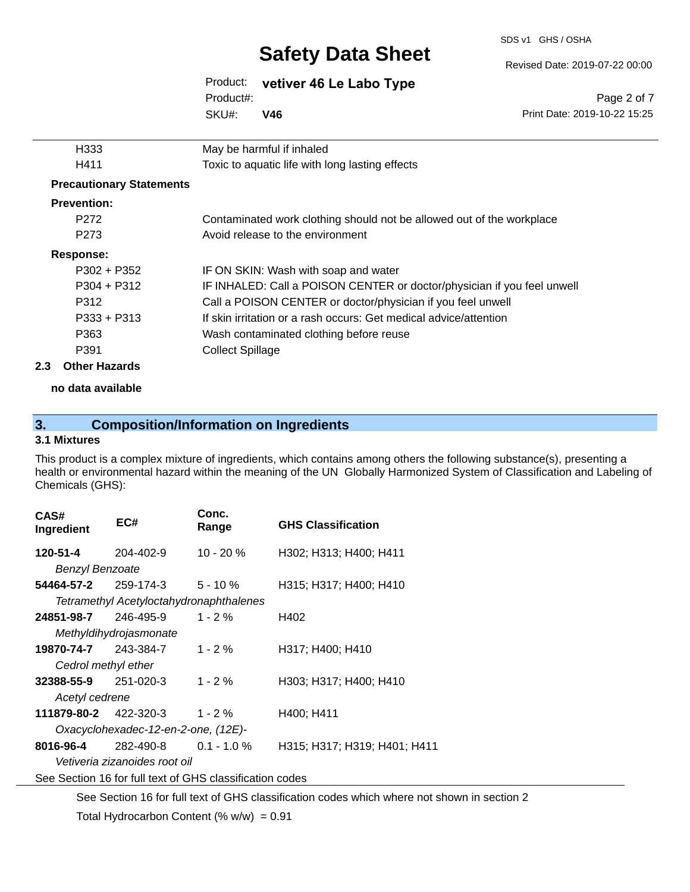SDS v1 GHS / OSHA

Revised Date: 2019-07-22 00:00

#### Product: **vetiver 46 Le Labo Type** SKU#: Product#: **V46**

Page 2 of 7 Print Date: 2019-10-22 15:25

|     | H333                            | May be harmful if inhaled                                               |
|-----|---------------------------------|-------------------------------------------------------------------------|
|     | H411                            | Toxic to aquatic life with long lasting effects                         |
|     | <b>Precautionary Statements</b> |                                                                         |
|     | <b>Prevention:</b>              |                                                                         |
|     | P <sub>272</sub>                | Contaminated work clothing should not be allowed out of the workplace   |
|     | P <sub>273</sub>                | Avoid release to the environment                                        |
|     | Response:                       |                                                                         |
|     | $P302 + P352$                   | IF ON SKIN: Wash with soap and water                                    |
|     | $P304 + P312$                   | IF INHALED: Call a POISON CENTER or doctor/physician if you feel unwell |
|     | P312                            | Call a POISON CENTER or doctor/physician if you feel unwell             |
|     | $P333 + P313$                   | If skin irritation or a rash occurs: Get medical advice/attention       |
|     | P363                            | Wash contaminated clothing before reuse                                 |
|     | P391                            | <b>Collect Spillage</b>                                                 |
| 2.3 | <b>Other Hazards</b>            |                                                                         |
|     |                                 |                                                                         |

**no data available**

## **3. Composition/Information on Ingredients**

### **3.1 Mixtures**

This product is a complex mixture of ingredients, which contains among others the following substance(s), presenting a health or environmental hazard within the meaning of the UN Globally Harmonized System of Classification and Labeling of Chemicals (GHS):

| CAS#<br>Ingredient                                       | EC#                                     | Conc.<br>Range | <b>GHS Classification</b>    |  |  |
|----------------------------------------------------------|-----------------------------------------|----------------|------------------------------|--|--|
| 120-51-4                                                 | 204-402-9                               | $10 - 20%$     | H302; H313; H400; H411       |  |  |
| <b>Benzyl Benzoate</b>                                   |                                         |                |                              |  |  |
|                                                          | $54464 - 57 - 2$ 259-174-3 5 - 10 %     |                | H315; H317; H400; H410       |  |  |
|                                                          | Tetramethyl Acetyloctahydronaphthalenes |                |                              |  |  |
| 24851-98-7                                               | 246-495-9                               | $1 - 2 \%$     | H402                         |  |  |
|                                                          | Methyldihydrojasmonate                  |                |                              |  |  |
| 19870-74-7 243-384-7                                     |                                         | $1 - 2 \%$     | H317; H400; H410             |  |  |
| Cedrol methyl ether                                      |                                         |                |                              |  |  |
| <b>32388-55-9</b> 251-020-3                              |                                         | $1 - 2 \%$     | H303; H317; H400; H410       |  |  |
| Acetyl cedrene                                           |                                         |                |                              |  |  |
|                                                          | <b>111879-80-2</b> 422-320-3 1 - 2 %    |                | H400; H411                   |  |  |
| Oxacyclohexadec-12-en-2-one, (12E)-                      |                                         |                |                              |  |  |
| 8016-96-4                                                | 282-490-8                               | $0.1 - 1.0 \%$ | H315; H317; H319; H401; H411 |  |  |
| Vetiveria zizanoides root oil                            |                                         |                |                              |  |  |
| See Section 16 for full text of GHS classification codes |                                         |                |                              |  |  |

See Section 16 for full text of GHS classification codes which where not shown in section 2 Total Hydrocarbon Content (%  $w/w$ ) = 0.91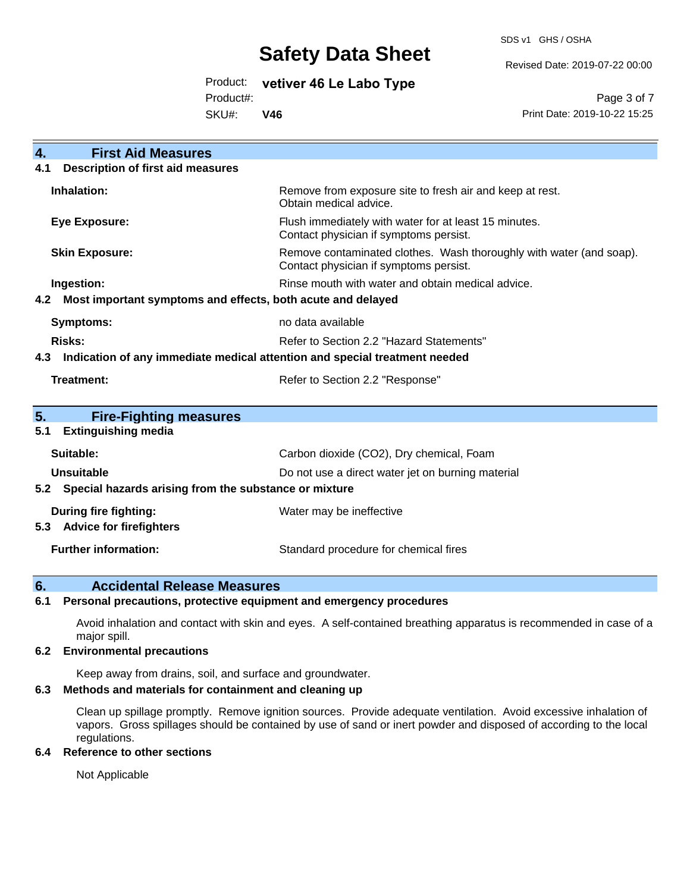SDS v1 GHS / OSHA

Revised Date: 2019-07-22 00:00

Product: **vetiver 46 Le Labo Type**

Product#:

SKU#: **V46**

Page 3 of 7 Print Date: 2019-10-22 15:25

| <b>First Aid Measures</b><br>$\overline{4}$ .                                     |                                                                                                               |  |  |  |
|-----------------------------------------------------------------------------------|---------------------------------------------------------------------------------------------------------------|--|--|--|
| <b>Description of first aid measures</b><br>4.1                                   |                                                                                                               |  |  |  |
| Inhalation:                                                                       | Remove from exposure site to fresh air and keep at rest.<br>Obtain medical advice.                            |  |  |  |
| <b>Eye Exposure:</b>                                                              | Flush immediately with water for at least 15 minutes.<br>Contact physician if symptoms persist.               |  |  |  |
| <b>Skin Exposure:</b>                                                             | Remove contaminated clothes. Wash thoroughly with water (and soap).<br>Contact physician if symptoms persist. |  |  |  |
| Ingestion:                                                                        | Rinse mouth with water and obtain medical advice.                                                             |  |  |  |
| Most important symptoms and effects, both acute and delayed<br>4.2                |                                                                                                               |  |  |  |
| <b>Symptoms:</b>                                                                  | no data available                                                                                             |  |  |  |
| <b>Risks:</b><br>Refer to Section 2.2 "Hazard Statements"                         |                                                                                                               |  |  |  |
| Indication of any immediate medical attention and special treatment needed<br>4.3 |                                                                                                               |  |  |  |
| Treatment:<br>Refer to Section 2.2 "Response"                                     |                                                                                                               |  |  |  |
|                                                                                   |                                                                                                               |  |  |  |
| 5.<br><b>Fire-Fighting measures</b>                                               |                                                                                                               |  |  |  |
| <b>Extinguishing media</b><br>5.1                                                 |                                                                                                               |  |  |  |
| Suitable:                                                                         | Carbon dioxide (CO2), Dry chemical, Foam                                                                      |  |  |  |
| Unsuitable                                                                        | Do not use a direct water jet on burning material                                                             |  |  |  |
| 5.2 Special hazards arising from the substance or mixture                         |                                                                                                               |  |  |  |
| <b>During fire fighting:</b><br>Water may be ineffective                          |                                                                                                               |  |  |  |
| <b>Advice for firefighters</b><br>5.3                                             |                                                                                                               |  |  |  |
| <b>Further information:</b>                                                       | Standard procedure for chemical fires                                                                         |  |  |  |

### **6. Accidental Release Measures**

### **6.1 Personal precautions, protective equipment and emergency procedures**

Avoid inhalation and contact with skin and eyes. A self-contained breathing apparatus is recommended in case of a major spill.

### **6.2 Environmental precautions**

Keep away from drains, soil, and surface and groundwater.

### **6.3 Methods and materials for containment and cleaning up**

Clean up spillage promptly. Remove ignition sources. Provide adequate ventilation. Avoid excessive inhalation of vapors. Gross spillages should be contained by use of sand or inert powder and disposed of according to the local regulations.

### **6.4 Reference to other sections**

Not Applicable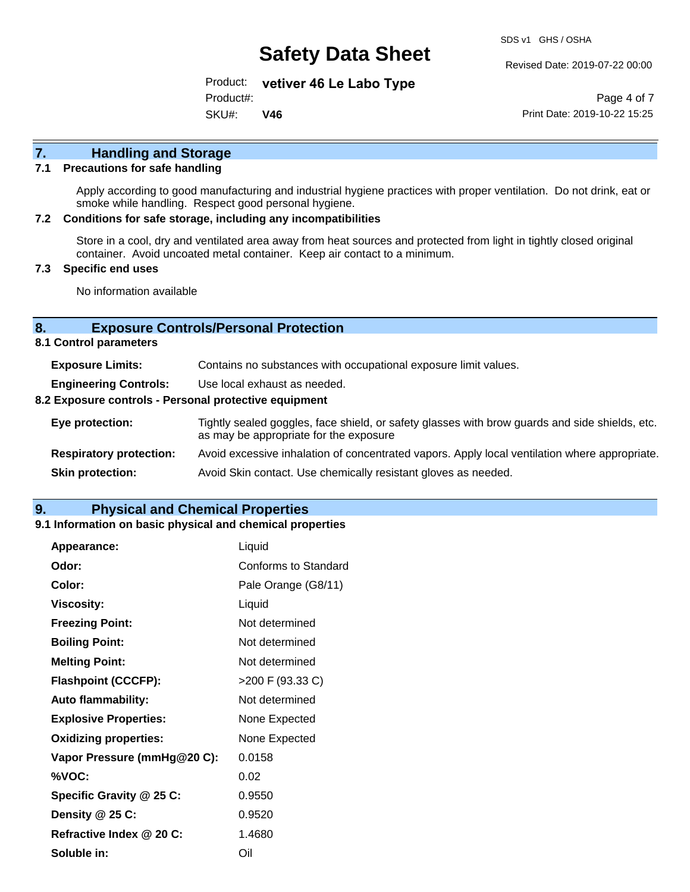Revised Date: 2019-07-22 00:00

Product: **vetiver 46 Le Labo Type** SKU#: Product#: **V46**

Page 4 of 7 Print Date: 2019-10-22 15:25

# **7. Handling and Storage**

### **7.1 Precautions for safe handling**

Apply according to good manufacturing and industrial hygiene practices with proper ventilation. Do not drink, eat or smoke while handling. Respect good personal hygiene.

### **7.2 Conditions for safe storage, including any incompatibilities**

Store in a cool, dry and ventilated area away from heat sources and protected from light in tightly closed original container. Avoid uncoated metal container. Keep air contact to a minimum.

### **7.3 Specific end uses**

No information available

### **8. Exposure Controls/Personal Protection**

**8.1 Control parameters**

| <b>Exposure Limits:</b>                               | Contains no substances with occupational exposure limit values.                                                                          |  |  |
|-------------------------------------------------------|------------------------------------------------------------------------------------------------------------------------------------------|--|--|
| <b>Engineering Controls:</b>                          | Use local exhaust as needed.                                                                                                             |  |  |
| 8.2 Exposure controls - Personal protective equipment |                                                                                                                                          |  |  |
| Eye protection:                                       | Tightly sealed goggles, face shield, or safety glasses with brow guards and side shields, etc.<br>as may be appropriate for the exposure |  |  |
| <b>Respiratory protection:</b>                        | Avoid excessive inhalation of concentrated vapors. Apply local ventilation where appropriate.                                            |  |  |
| <b>Skin protection:</b>                               | Avoid Skin contact. Use chemically resistant gloves as needed.                                                                           |  |  |

### **9. Physical and Chemical Properties**

### **9.1 Information on basic physical and chemical properties**

| Appearance:                  | Liquid               |
|------------------------------|----------------------|
| Odor:                        | Conforms to Standard |
| Color:                       | Pale Orange (G8/11)  |
| <b>Viscosity:</b>            | Liquid               |
| <b>Freezing Point:</b>       | Not determined       |
| <b>Boiling Point:</b>        | Not determined       |
| <b>Melting Point:</b>        | Not determined       |
| <b>Flashpoint (CCCFP):</b>   | >200 F (93.33 C)     |
| <b>Auto flammability:</b>    | Not determined       |
| <b>Explosive Properties:</b> | None Expected        |
| <b>Oxidizing properties:</b> | None Expected        |
| Vapor Pressure (mmHg@20 C):  | 0.0158               |
| %VOC:                        | 0.02                 |
| Specific Gravity @ 25 C:     | 0.9550               |
| Density @ 25 C:              | 0.9520               |
| Refractive Index @ 20 C:     | 1.4680               |
| Soluble in:                  | Oil                  |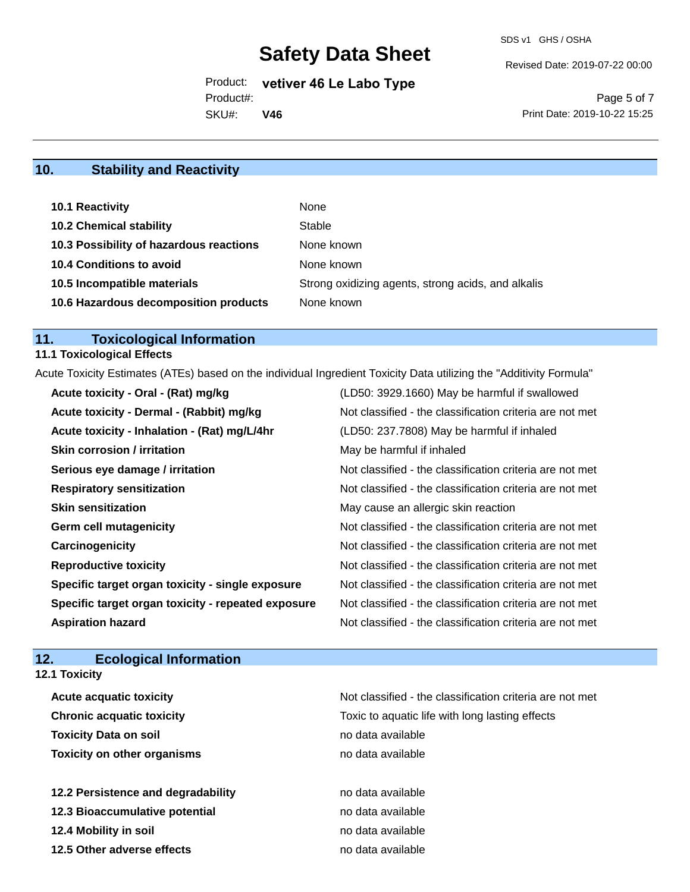Revised Date: 2019-07-22 00:00

Product: **vetiver 46 Le Labo Type** SKU#: Product#: **V46**

Page 5 of 7 Print Date: 2019-10-22 15:25

## **10. Stability and Reactivity**

| 10.1 Reactivity                         | None                                               |
|-----------------------------------------|----------------------------------------------------|
| <b>10.2 Chemical stability</b>          | Stable                                             |
| 10.3 Possibility of hazardous reactions | None known                                         |
| <b>10.4 Conditions to avoid</b>         | None known                                         |
| 10.5 Incompatible materials             | Strong oxidizing agents, strong acids, and alkalis |
| 10.6 Hazardous decomposition products   | None known                                         |

# **11. Toxicological Information**

## **11.1 Toxicological Effects**

Acute Toxicity Estimates (ATEs) based on the individual Ingredient Toxicity Data utilizing the "Additivity Formula"

| Acute toxicity - Oral - (Rat) mg/kg                | (LD50: 3929.1660) May be harmful if swallowed            |
|----------------------------------------------------|----------------------------------------------------------|
| Acute toxicity - Dermal - (Rabbit) mg/kg           | Not classified - the classification criteria are not met |
| Acute toxicity - Inhalation - (Rat) mg/L/4hr       | (LD50: 237.7808) May be harmful if inhaled               |
| <b>Skin corrosion / irritation</b>                 | May be harmful if inhaled                                |
| Serious eye damage / irritation                    | Not classified - the classification criteria are not met |
| <b>Respiratory sensitization</b>                   | Not classified - the classification criteria are not met |
| <b>Skin sensitization</b>                          | May cause an allergic skin reaction                      |
| <b>Germ cell mutagenicity</b>                      | Not classified - the classification criteria are not met |
| Carcinogenicity                                    | Not classified - the classification criteria are not met |
| <b>Reproductive toxicity</b>                       | Not classified - the classification criteria are not met |
| Specific target organ toxicity - single exposure   | Not classified - the classification criteria are not met |
| Specific target organ toxicity - repeated exposure | Not classified - the classification criteria are not met |
| <b>Aspiration hazard</b>                           | Not classified - the classification criteria are not met |

## **12. Ecological Information**

**12.1 Toxicity**

| <b>Acute acquatic toxicity</b>     | Not classified - the classification criteria are not met |
|------------------------------------|----------------------------------------------------------|
| <b>Chronic acquatic toxicity</b>   | Toxic to aquatic life with long lasting effects          |
| <b>Toxicity Data on soil</b>       | no data available                                        |
| <b>Toxicity on other organisms</b> | no data available                                        |
|                                    |                                                          |
| 12.2 Persistence and degradability | no data available                                        |
| 12.3 Bioaccumulative potential     | no data available                                        |
| 12.4 Mobility in soil              | no data available                                        |
| 12.5 Other adverse effects         | no data available                                        |
|                                    |                                                          |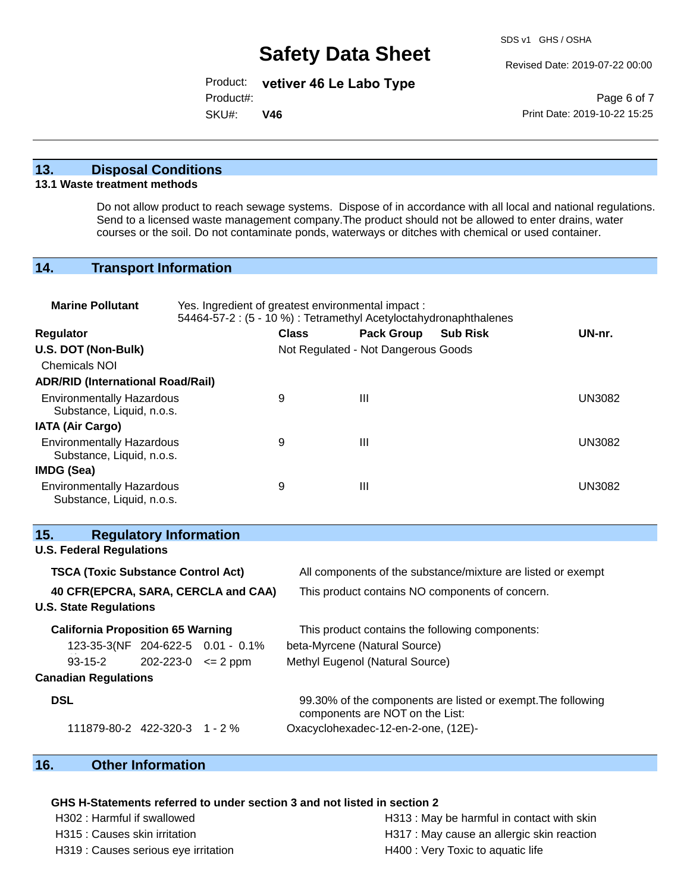Revised Date: 2019-07-22 00:00

Product: **vetiver 46 Le Labo Type**

Product#:

SKU#: **V46**

Page 6 of 7 Print Date: 2019-10-22 15:25

### **13. Disposal Conditions**

#### **13.1 Waste treatment methods**

Do not allow product to reach sewage systems. Dispose of in accordance with all local and national regulations. Send to a licensed waste management company.The product should not be allowed to enter drains, water courses or the soil. Do not contaminate ponds, waterways or ditches with chemical or used container.

### **14. Transport Information**

| <b>Marine Pollutant</b>                                                                | Yes. Ingredient of greatest environmental impact:<br>54464-57-2 : (5 - 10 %) : Tetramethyl Acetyloctahydronaphthalenes |              |                                                 |                                                              |  |
|----------------------------------------------------------------------------------------|------------------------------------------------------------------------------------------------------------------------|--------------|-------------------------------------------------|--------------------------------------------------------------|--|
| Regulator                                                                              |                                                                                                                        | <b>Class</b> | <b>Pack Group</b>                               | UN-nr.<br><b>Sub Risk</b>                                    |  |
| U.S. DOT (Non-Bulk)                                                                    |                                                                                                                        |              | Not Regulated - Not Dangerous Goods             |                                                              |  |
| <b>Chemicals NOI</b>                                                                   |                                                                                                                        |              |                                                 |                                                              |  |
| <b>ADR/RID (International Road/Rail)</b>                                               |                                                                                                                        |              |                                                 |                                                              |  |
| <b>Environmentally Hazardous</b><br>Substance, Liquid, n.o.s.                          |                                                                                                                        | 9            | III                                             | <b>UN3082</b>                                                |  |
| <b>IATA (Air Cargo)</b>                                                                |                                                                                                                        |              |                                                 |                                                              |  |
| <b>Environmentally Hazardous</b><br>Substance, Liquid, n.o.s.                          |                                                                                                                        | 9            | III                                             | <b>UN3082</b>                                                |  |
| IMDG (Sea)                                                                             |                                                                                                                        |              |                                                 |                                                              |  |
| <b>Environmentally Hazardous</b><br>Substance, Liquid, n.o.s.                          |                                                                                                                        | 9            | III                                             | <b>UN3082</b>                                                |  |
| 15.<br><b>Regulatory Information</b>                                                   |                                                                                                                        |              |                                                 |                                                              |  |
| <b>U.S. Federal Regulations</b>                                                        |                                                                                                                        |              |                                                 |                                                              |  |
| <b>TSCA (Toxic Substance Control Act)</b>                                              |                                                                                                                        |              |                                                 | All components of the substance/mixture are listed or exempt |  |
| 40 CFR(EPCRA, SARA, CERCLA and CAA)<br>This product contains NO components of concern. |                                                                                                                        |              |                                                 |                                                              |  |
| <b>U.S. State Regulations</b>                                                          |                                                                                                                        |              |                                                 |                                                              |  |
| <b>California Proposition 65 Warning</b>                                               |                                                                                                                        |              | This product contains the following components: |                                                              |  |
| 123-35-3(NF 204-622-5 0.01 - 0.1%                                                      |                                                                                                                        |              | beta-Myrcene (Natural Source)                   |                                                              |  |
| $93 - 15 - 2$                                                                          | $202 - 223 - 0 \le 2$ ppm                                                                                              |              | Methyl Eugenol (Natural Source)                 |                                                              |  |
| <b>Canadian Regulations</b>                                                            |                                                                                                                        |              |                                                 |                                                              |  |
| <b>DSL</b>                                                                             |                                                                                                                        |              | components are NOT on the List:                 | 99.30% of the components are listed or exempt. The following |  |
| 111879-80-2 422-320-3 1 - 2 %                                                          |                                                                                                                        |              | Oxacyclohexadec-12-en-2-one, (12E)-             |                                                              |  |

## **16. Other Information**

### **GHS H-Statements referred to under section 3 and not listed in section 2**

H319 : Causes serious eye irritation **H400** : Very Toxic to aquatic life

H302 : Harmful if swallowed **H313** : May be harmful in contact with skin H315 : Causes skin irritation extended the H317 : May cause an allergic skin reaction